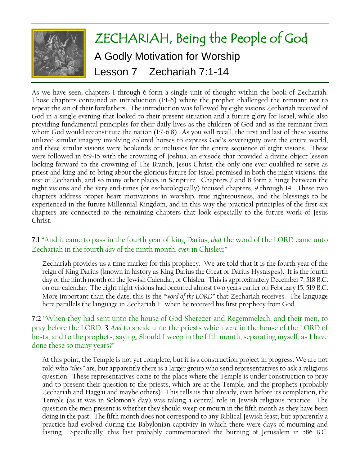

As we have seen, chapters 1 through 6 form a single unit of thought within the book of Zechariah. Those chapters contained an introduction (1:1-6) where the prophet challenged the remnant not to repeat the sin of their forefathers. The introduction was followed by eight visions Zechariah received of God in a single evening that looked to their present situation and a future glory for Israel, while also providing fundamental principles for their daily lives as the children of God and as the remnant from whom God would reconstitute the nation (1:7-6:8). As you will recall, the first and last of these visions utilized similar imagery involving colored horses to express God's sovereignty over the entire world, and these similar visions were bookends or inclusios for the entire sequence of eight visions. These were followed in 6:9-15 with the crowning of Joshua, an episode that provided a divine object lesson looking forward to the crowning of The Branch, Jesus Christ, the only one ever qualified to serve as priest and king and to bring about the glorious future for Israel promised in both the night visions, the rest of Zechariah, and so many other places in Scripture. Chapters 7 and 8 form a hinge between the night visions and the very end-times (or eschatologically) focused chapters, 9 through 14. These two chapters address proper heart motivations in worship, true righteousness, and the blessings to be experienced in the future Millennial Kingdom, and in this way the practical principles of the first six chapters are connected to the remaining chapters that look especially to the future work of Jesus Christ.

# **7:1** "And it came to pass in the fourth year of king Darius, *that* the word of the LORD came unto Zechariah in the fourth *day* of the ninth month, *even* in Chisleu;"

Zechariah provides us a time marker for this prophecy. We are told that it is the fourth year of the reign of King Darius (known in history as King Darius the Great or Darius Hystaspes). It is the fourth day of the ninth month on the Jewish Calendar, or Chisleu. This is approximately December 7, 518 B.C. on our calendar. The eight night visions had occurred almost two years earlier on February 15, 519 B.C. More important than the date, this is the *"word of the LORD"* that Zechariah receives. The language here parallels the language in Zechariah 1:1 when he received his first prophecy from God.

# **7:2** "When they had sent unto the house of God Sherezer and Regemmelech, and their men, to pray before the LORD, **3** *And* to speak unto the priests which *were* in the house of the LORD of hosts, and to the prophets, saying, Should I weep in the fifth month, separating myself, as I have done these so many years?"

At this point, the Temple is not yet complete, but it is a construction project in progress. We are not told who *"they"* are, but apparently there is a larger group who send representatives to ask a religious question. These representatives come to the place where the Temple is under construction to pray and to present their question to the priests, which are at the Temple, and the prophets (probably Zechariah and Haggai and maybe others). This tells us that already, even before its completion, the Temple (as it was in Solomon's day) was taking a central role in Jewish religious practice. The question the men present is whether they should weep or mourn in the fifth month as they have been doing in the past. The fifth month does not correspond to any Biblical Jewish feast, but apparently a practice had evolved during the Babylonian captivity in which there were days of mourning and fasting. Specifically, this fast probably commemorated the burning of Jerusalem in 586 B.C.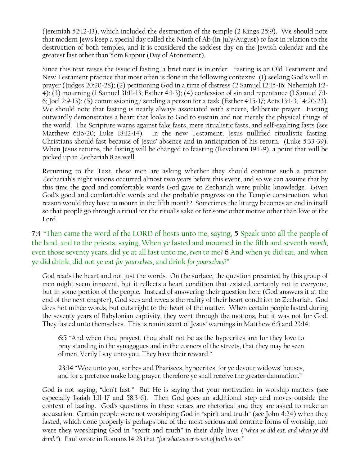(Jeremiah 52:12-13), which included the destruction of the temple (2 Kings 25:9). We should note that modern Jews keep a special day called the Ninth of Ab (in July/August) to fast in relation to the destruction of both temples, and it is considered the saddest day on the Jewish calendar and the greatest fast other than Yom Kippur (Day of Atonement).

Since this text raises the issue of fasting, a brief note is in order. Fasting is an Old Testament and New Testament practice that most often is done in the following contexts: (1) seeking God's will in prayer (Judges 20:20-28); (2) petitioning God in a time of distress (2 Samuel 12:15-16; Nehemiah 1:2- 4); (3) mourning (1 Samuel 31:11-13; Esther 4:1-3); (4) confession of sin and repentance (1 Samuel 7:1- 6; Joel 2:9-13); (5) commissioning / sending a person for a task (Esther 4:15-17; Acts 13:1-3, 14:20-23). We should note that fasting is nearly always associated with sincere, deliberate prayer. Fasting outwardly demonstrates a heart that looks to God to sustain and not merely the physical things of the world. The Scripture warns against fake fasts, mere ritualistic fasts, and self-exalting fasts (see Matthew 6:16-20; Luke 18:12-14). In the new Testament, Jesus nullified ritualistic fasting. Christians should fast because of Jesus' absence and in anticipation of his return. (Luke 5:33-39). When Jesus returns, the fasting will be changed to feasting (Revelation 19:1-9), a point that will be picked up in Zechariah 8 as well.

Returning to the Text, these men are asking whether they should continue such a practice. Zechariah's night visions occurred almost two years before this event, and so we can assume that by this time the good and comfortable words God gave to Zechariah were public knowledge. Given God's good and comfortable words and the probable progress on the Temple construction, what reason would they have to mourn in the fifth month? Sometimes the liturgy becomes an end in itself so that people go through a ritual for the ritual's sake or for some other motive other than love of the Lord.

**7:4** "Then came the word of the LORD of hosts unto me, saying, **5** Speak unto all the people of the land, and to the priests, saying, When ye fasted and mourned in the fifth and seventh *month*, even those seventy years, did ye at all fast unto me, *even* to me? **6** And when ye did eat, and when ye did drink, did not ye eat *for yourselves*, and drink *for yourselves*?"

God reads the heart and not just the words. On the surface, the question presented by this group of men might seem innocent, but it reflects a heart condition that existed, certainly not in everyone, but in some portion of the people. Instead of answering their question here (God answers it at the end of the next chapter), God sees and reveals the reality of their heart condition to Zechariah. God does not mince words, but cuts right to the heart of the matter. When certain people fasted during the seventy years of Babylonian captivity, they went through the motions, but it was not for God. They fasted unto themselves. This is reminiscent of Jesus' warnings in Matthew 6:5 and 23:14:

**6:5** "And when thou prayest, thou shalt not be as the hypocrites are: for they love to pray standing in the synagogues and in the corners of the streets, that they may be seen of men. Verily I say unto you, They have their reward."

**23:14** "Woe unto you, scribes and Pharisees, hypocrites! for ye devour widows' houses, and for a pretence make long prayer: therefore ye shall receive the greater damnation."

God is not saying, "don't fast." But He is saying that your motivation in worship matters (see especially Isaiah 1:11-17 and 58:3-6). Then God goes an additional step and moves outside the context of fasting. God's questions in these verses are rhetorical and they are asked to make an accusation. Certain people were not worshiping God in "spirit and truth" (see John 4:24) when they fasted, which done properly is perhaps one of the most serious and contrite forms of worship, nor were they worshiping God in "spirit and truth" in their daily lives (*"when ye did eat, and when ye did drink"*). Paul wrote in Romans 14:23 that *"for whatsoeveris not of faith is sin."*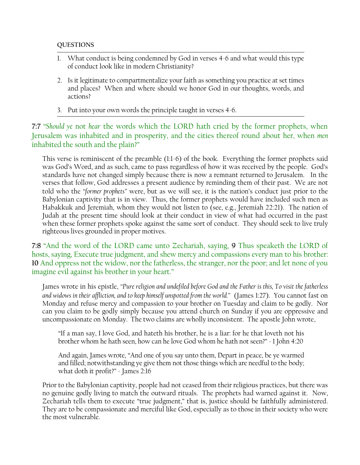### **QUESTIONS**

- 1. What conduct is being condemned by God in verses 4-6 and what would this type of conduct look like in modern Christianity?
- 2. Is it legitimate to compartmentalize your faith as something you practice at set times and places? When and where should we honor God in our thoughts, words, and actions?
- 3. Put into your own words the principle taught in verses 4-6.

**7:7** "*Should ye* not *hear* the words which the LORD hath cried by the former prophets, when Jerusalem was inhabited and in prosperity, and the cities thereof round about her, when *men* inhabited the south and the plain?"

This verse is reminiscent of the preamble (1:1-6) of the book. Everything the former prophets said was God's Word, and as such, came to pass regardless of how it was received by the people. God's standards have not changed simply because there is now a remnant returned to Jerusalem. In the verses that follow, God addresses a present audience by reminding them of their past. We are not told who the *"former prophets"* were, but as we will see, it is the nation's conduct just prior to the Babylonian captivity that is in view. Thus, the former prophets would have included such men as Habakkuk and Jeremiah, whom they would not listen to (see, e.g., Jeremiah 22:21). The nation of Judah at the present time should look at their conduct in view of what had occurred in the past when these former prophets spoke against the same sort of conduct. They should seek to live truly righteous lives grounded in proper motives.

**7:8** "And the word of the LORD came unto Zechariah, saying, **9** Thus speaketh the LORD of hosts, saying, Execute true judgment, and shew mercy and compassions every man to his brother: **10** And oppress not the widow, nor the fatherless, the stranger, nor the poor; and let none of you imagine evil against his brother in your heart."

James wrote in his epistle, *"Pure religion and undefiled before God and the Father is this, To visit the fatherless and widows in their affliction, and to keep himself unspotted from the world."* (James 1:27). You cannot fast on Monday and refuse mercy and compassion to your brother on Tuesday and claim to be godly. Nor can you claim to be godly simply because you attend church on Sunday if you are oppressive and uncompassionate on Monday. The two claims are wholly inconsistent. The apostle John wrote,

"If a man say, I love God, and hateth his brother, he is a liar: for he that loveth not his brother whom he hath seen, how can he love God whom he hath not seen?" - 1 John 4:20

And again, James wrote, "And one of you say unto them, Depart in peace, be ye warmed and filled; notwithstanding ye give them not those things which are needful to the body; what doth it profit?" - James 2:16

Prior to the Babylonian captivity, people had not ceased from their religious practices, but there was no genuine godly living to match the outward rituals. The prophets had warned against it. Now, Zechariah tells them to execute "true judgment," that is, justice should be faithfully administered. They are to be compassionate and merciful like God, especially as to those in their society who were the most vulnerable.